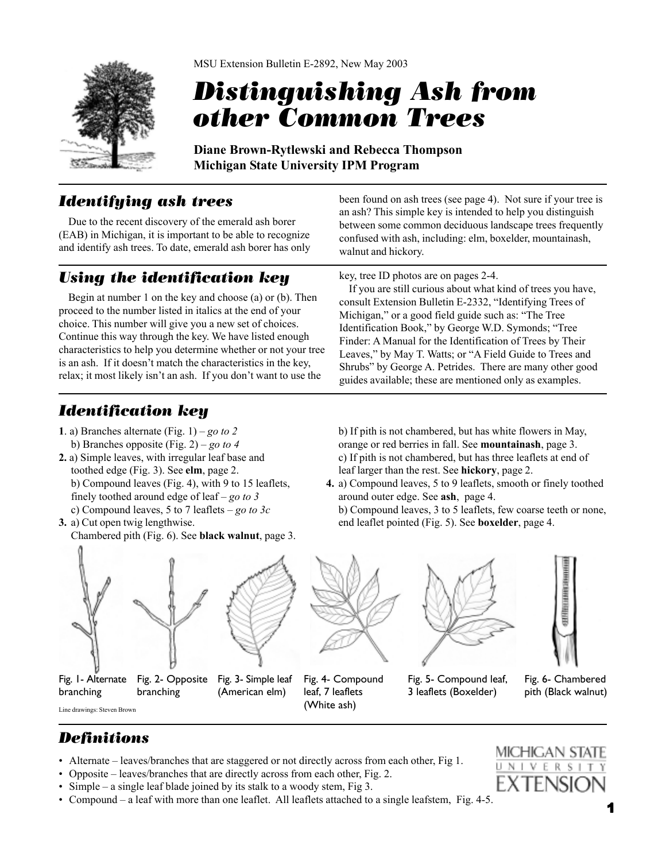

# *Distinguishing Ash from other Common Trees*

**Diane Brown-Rytlewski and Rebecca Thompson Michigan State University IPM Program**

### *Identifying ash trees*

Due to the recent discovery of the emerald ash borer (EAB) in Michigan, it is important to be able to recognize and identify ash trees. To date, emerald ash borer has only

#### **Using the identification key** key, tree ID photos are on pages 2-4.

Begin at number 1 on the key and choose (a) or (b). Then proceed to the number listed in italics at the end of your choice. This number will give you a new set of choices. Continue this way through the key. We have listed enough characteristics to help you determine whether or not your tree is an ash. If it doesn't match the characteristics in the key, relax; it most likely isn't an ash. If you don't want to use the

been found on ash trees (see page 4). Not sure if your tree is an ash? This simple key is intended to help you distinguish between some common deciduous landscape trees frequently confused with ash, including: elm, boxelder, mountainash, walnut and hickory.

If you are still curious about what kind of trees you have, consult Extension Bulletin E-2332, "Identifying Trees of Michigan," or a good field guide such as: "The Tree Identification Book," by George W.D. Symonds; "Tree Finder: A Manual for the Identification of Trees by Their Leaves," by May T. Watts; or "A Field Guide to Trees and Shrubs" by George A. Petrides. There are many other good guides available; these are mentioned only as examples.

## *Identification key*

- **1**. a) Branches alternate (Fig. 1) *go to 2* b) Branches opposite (Fig. 2) – *go to 4*
- **2.** a) Simple leaves, with irregular leaf base and toothed edge (Fig. 3). See **elm**, page 2. b) Compound leaves (Fig. 4), with 9 to 15 leaflets, finely toothed around edge of leaf – *go to 3* c) Compound leaves, 5 to 7 leaflets – *go to 3c*
- **3.** a) Cut open twig lengthwise. Chambered pith (Fig. 6). See **black walnut**, page 3.

b) If pith is not chambered, but has white flowers in May, orange or red berries in fall. See **mountainash**, page 3. c) If pith is not chambered, but has three leaflets at end of leaf larger than the rest. See **hickory**, page 2.

**4.** a) Compound leaves, 5 to 9 leaflets, smooth or finely toothed around outer edge. See **ash**, page 4.

b) Compound leaves, 3 to 5 leaflets, few coarse teeth or none, end leaflet pointed (Fig. 5). See **boxelder**, page 4.





Fig. 1 - Alternate Fig. 2 - Opposite Fig. 3 - Simple leaf branching branching

(American elm)



Fig. 4- Compound leaf, 7 leaflets (White ash)





Fig. 5- Compound leaf, 3 leaflets (Boxelder)

Fig. 6- Chambered pith (Black walnut)

### *Definitions*

Line drawings: Steven Brown

- Alternate leaves/branches that are staggered or not directly across from each other, Fig 1.
- Opposite leaves/branches that are directly across from each other, Fig. 2.
- Simple a single leaf blade joined by its stalk to a woody stem, Fig 3.
- Compound a leaf with more than one leaflet. All leaflets attached to a single leafstem, Fig. 4-5.

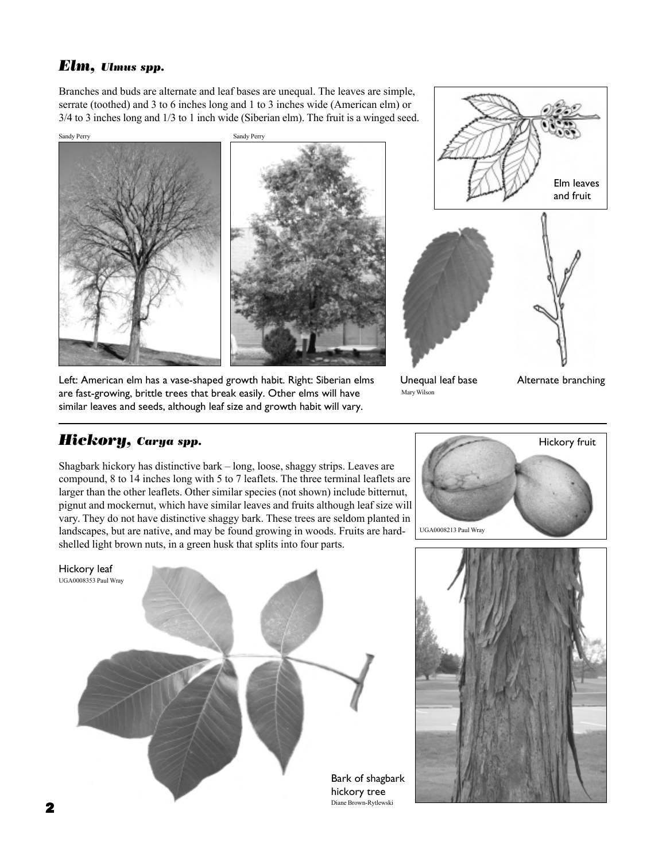#### *Elm, Ulmus spp.*

Branches and buds are alternate and leaf bases are unequal. The leaves are simple, serrate (toothed) and 3 to 6 inches long and 1 to 3 inches wide (American elm) or 3/4 to 3 inches long and 1/3 to 1 inch wide (Siberian elm). The fruit is a winged seed.





Left: American elm has a vase-shaped growth habit. Right: Siberian elms are fast-growing, brittle trees that break easily. Other elms will have similar leaves and seeds, although leaf size and growth habit will vary.

Unequal leaf base Mary Wilson

Alternate branching

#### *Hickory, Carya spp.*

Shagbark hickory has distinctive bark – long, loose, shaggy strips. Leaves are compound, 8 to 14 inches long with 5 to 7 leaflets. The three terminal leaflets are larger than the other leaflets. Other similar species (not shown) include bitternut, pignut and mockernut, which have similar leaves and fruits although leaf size will vary. They do not have distinctive shaggy bark. These trees are seldom planted in landscapes, but are native, and may be found growing in woods. Fruits are hardshelled light brown nuts, in a green husk that splits into four parts.





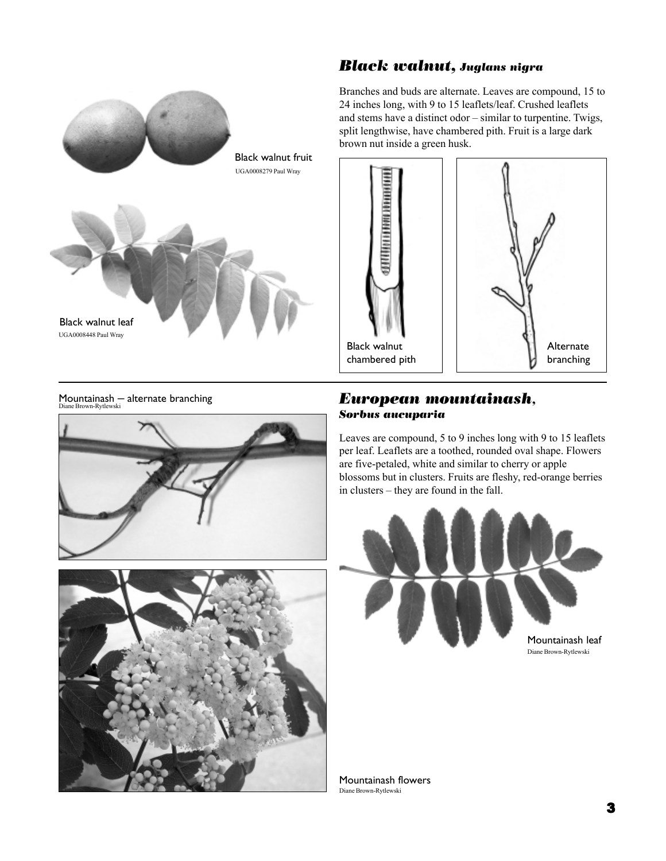#### *Black walnut, Juglans nigra*

Branches and buds are alternate. Leaves are compound, 15 to 24 inches long, with 9 to 15 leaflets/leaf. Crushed leaflets and stems have a distinct odor – similar to turpentine. Twigs, split lengthwise, have chambered pith. Fruit is a large dark brown nut inside a green husk.





UGA0008448 Paul Wray

Black walnut leaf



Black walnut fruit

UGA0008279 Paul Wray



#### *European mountainash, Sorbus aucuparia*

Leaves are compound, 5 to 9 inches long with 9 to 15 leaflets per leaf. Leaflets are a toothed, rounded oval shape. Flowers are five-petaled, white and similar to cherry or apple blossoms but in clusters. Fruits are fleshy, red-orange berries in clusters – they are found in the fall.



Diane Brown-Rytlewski Mountainash flowers